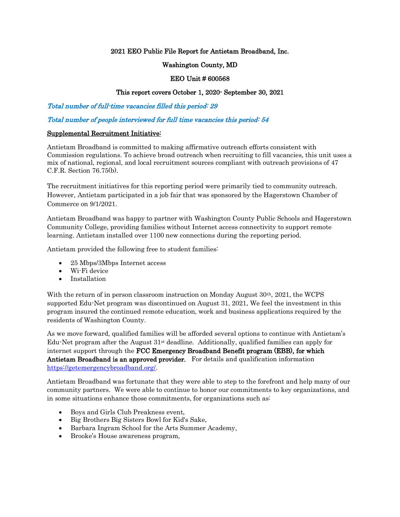## 2021 EEO Public File Report for Antietam Broadband, Inc.

Washington County, MD

## EEO Unit # 600568

## This report covers October 1, 2020- September 30, 2021

Total number of full-time vacancies filled this period: 29

Total number of people interviewed for full time vacancies this period: 54

## Supplemental Recruitment Initiative:

Antietam Broadband is committed to making affirmative outreach efforts consistent with Commission regulations. To achieve broad outreach when recruiting to fill vacancies, this unit uses a mix of national, regional, and local recruitment sources compliant with outreach provisions of 47 C.F.R. Section 76.75(b).

The recruitment initiatives for this reporting period were primarily tied to community outreach. However, Antietam participated in a job fair that was sponsored by the Hagerstown Chamber of Commerce on 9/1/2021.

Antietam Broadband was happy to partner with Washington County Public Schools and Hagerstown Community College, providing families without Internet access connectivity to support remote learning. Antietam installed over 1100 new connections during the reporting period.

Antietam provided the following free to student families:

- 25 Mbps/3Mbps Internet access
- Wi-Fi device
- Installation

With the return of in person classroom instruction on Monday August 30<sup>th</sup>, 2021, the WCPS supported Edu-Net program was discontinued on August 31, 2021. We feel the investment in this program insured the continued remote education, work and business applications required by the residents of Washington County.

As we move forward, qualified families will be afforded several options to continue with Antietam's Edu-Net program after the August 31st deadline. Additionally, qualified families can apply for internet support through the FCC Emergency Broadband Benefit program (EBB), for which Antietam Broadband is an approved provider. For details and qualification information [https://getemergencybroadband.org/.](https://getemergencybroadband.org/)

Antietam Broadband was fortunate that they were able to step to the forefront and help many of our community partners. We were able to continue to honor our commitments to key organizations, and in some situations enhance those commitments, for organizations such as:

- Boys and Girls Club Preakness event,
- Big Brothers Big Sisters Bowl for Kid's Sake,
- Barbara Ingram School for the Arts Summer Academy,
- Brooke's House awareness program,